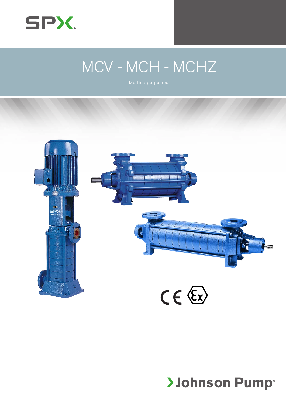

# MCV - MCH - MCHZ



# **>Johnson Pump®**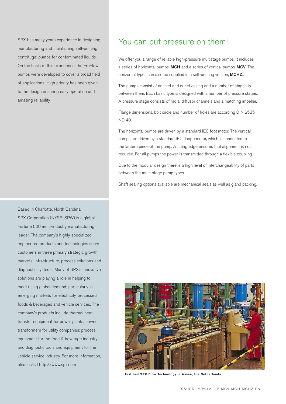SPX has many years experience in designing, manufacturing and maintaining self-priming centrifugal pumps for contaminated liquids. On the basis of this experience, the FreFlow pumps were developed to cover a broad field of applications. High priority has been given to the design ensuring easy operation and amazing reliability.

SPX Corporation (NYSE: SPW) is a global Fortune 500 multi-industry manufacturing leader. The company's highly-specialized, engineered products and technologies serve customers in three primary strategic growth markets: infrastructure, process solutions and diagnostic systems. Many of SPX's innovative solutions are playing a role in helping to meet rising global demand; particularly in emerging markets for electricity, processed foods & beverages and vehicle services. The company's products include thermal heat transfer equipment for power plants; power transformers for utility companies; process equipment for the food & beverage industry; and diagnostic tools and equipment for the vehicle service industry. For more information, please visit http://www.spx.com

Based in Charlotte, North Carolina,

## You can put pressure on them!

We offer you a range of reliable high-pressure multistage pumps. It includes a series of horizontal pumps, MCH and a series of vertical pumps, MCV. The horizontal types can also be supplied in a self-priming version, MCHZ...

The pumps consist of an inlet and outlet casing and a number of stages in between them. Each basic type is designed with a number of pressure stages. A pressure stage consists of radial diffusor channels and a matching impeller.

Flange dimensions, bolt circle and number of holes are according DIN 2535 ND 40.

The horizontal pumps are driven by a standard IEC foot motor. The vertical pumps are driven by a standard IEC flange motor, which is connected to the lantern piece of the pump. A fitting edge ensures that alignment is not required. For all pumps the power is transmitted through a flexible coupling.

Due to the modular design there is a high level of interchangeability of parts between the multi-stage pump types.

Shaft sealing options available are mechanical seals as well as gland packing.



**Test bed SPX Flow Technology in Assen, the Netherlands**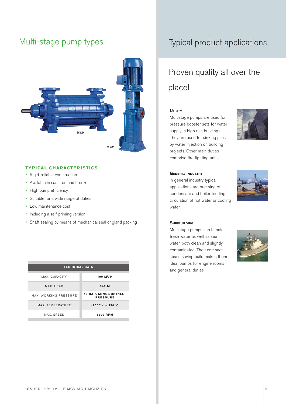

#### **TYPICAL CHARACTERISTICS**

- • Rigid, reliable construction
- • Available in cast iron and bronze
- High pump efficiency
- • Suitable for a wide range of duties
- • Low maintenance cost
- Including a self-priming version
- • Shaft sealing by means of mechanical seal or gland packing

| <b>TECHNICAL DATA</b> |                                                  |
|-----------------------|--------------------------------------------------|
|                       |                                                  |
| MAX. CAPACITY         | 100 $M^3/H$                                      |
| MAX. HEAD             | 340 M                                            |
| MAX. WORKING PRESSURE | <b>40 BAR, MINUS 3x INLET</b><br><b>PRESSURE</b> |
| MAX. TEMPERATURE      | $-20 °C / + 150 °C$                              |
| MAX. SPEED            | <b>3600 RPM</b>                                  |
|                       |                                                  |

# Multi-stage pump types Typical product applications

# Proven quality all over the place!

#### **UTILITY**

Multistage pumps are used for pressure booster sets for water supply in high rise buildings. They are used for sinking piles by water injection on building projects. Other main duties comprise fire fighting units.



#### **General industry**

In general industry typical applications are pumping of condensate and boiler feeding, circulation of hot water or cooling water.



#### **SHIPBUILDING**

Multistage pumps can handle fresh water as well as sea water, both clean and slightly contaminated. Their compact, space saving build makes them ideal pumps for engine rooms and general duties.



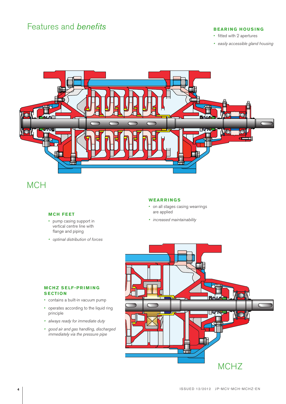## Features and *benefits* **BEARING HOUSING**

- • fitted with 2 apertures
- • easily accessible gland housing



# **MCH**

### **MCH FEET**

- • pump casing support in vertical centre line with flange and piping
- • optimal distribution of forces

### **WEARRINGS**

- on all stages casing wearrings are applied
- increased maintainability

#### **MCHZ SELF-PRIMING SECTION**

- • contains a built-in vacuum pump
- • operates according to the liquid ring principle
- • always ready for immediate duty
- • good air and gas handling, discharged immediately via the pressure pipe

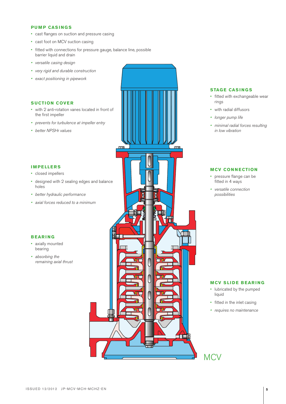#### **PUMP CASINGS**

- • cast flanges on suction and pressure casing
- cast foot on MCV suction casing
- fitted with connections for pressure gauge, balance line, possible barrier liquid and drain
- • versatile casing design
- • very rigid and durable construction
- • exact positioning in pipework

## **SUCTION COVER**

- • with 2 anti-rotation vanes located in front of the first impeller
- prevents for turbulence at impeller entry
- • better NPSHr values

#### **IMPELLERS**

- • closed impellers
- • designed with 2 sealing edges and balance holes
- • better hydraulic performance
- axial forces reduced to a minimum

#### **BEARING**

- axially mounted bearing
- absorbing the remaining axial thrust



#### **STAGE CASINGS**

- • fitted with exchangeable wear rings
- • with radial diffusors
- longer pump life
- • minimal radial forces resulting in low vibration

#### **MCV CONNECTION**

- • pressure flange can be fitted in 4 ways
- • versatile connection possibilities

#### **MCV SLIDE BEARING**

- • lubricated by the pumped liquid
- • fitted in the inlet casing
- • requires no maintenance

# **MCV**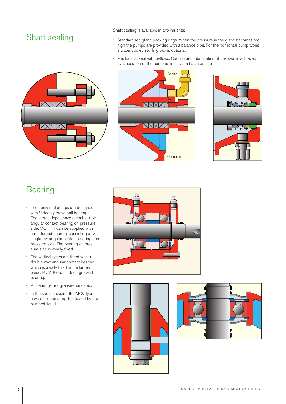# Shaft sealing

Shaft sealing is available in two variants:

- • Standardized gland packing rings. When the pressure in the gland becomes too high the pumps are provided with a balance pipe. For the horizontal pump types a water cooled stuffing box is optional.
- Mechanical seal with bellows. Cooling and lubrification of this seal is achieved by circulation of the pumped liquid via a balance pipe.







# **Bearing**

- The horizontal pumps are designed with 2 deep-groove ball bearings. The largest types have a double-row angular contact bearing on pressure side. MCH 14 can be supplied with a reinforced bearing, consisting of 2 singlerow angular contact bearings on pressure side. The bearing on pressure side is axially fixed.
- • The vertical types are fitted with a double-row angular contact bearing which is axially fixed in the lantern piece. MCV 16 has a deep groove ball bearing.
- • All bearings are grease-lubricated.
- In the suction casing the MCV types have a slide bearing, lubricated by the pumped liquid.





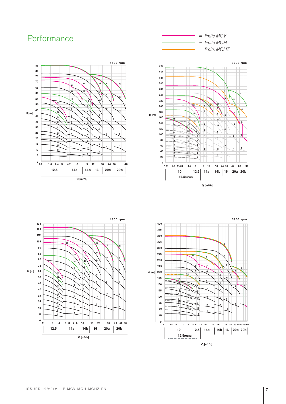